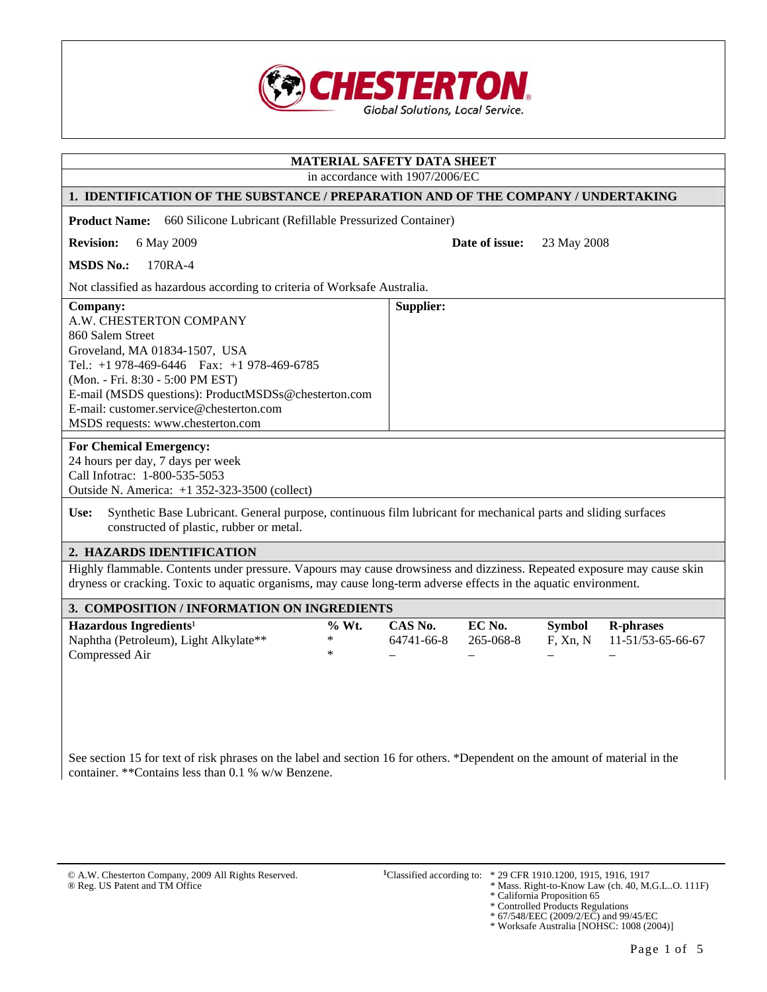

| MATERIAL SAFETY DATA SHEET                                                                                                                                                                                                                                                                                                                                                                 |                                                                                                                         |  |  |  |  |
|--------------------------------------------------------------------------------------------------------------------------------------------------------------------------------------------------------------------------------------------------------------------------------------------------------------------------------------------------------------------------------------------|-------------------------------------------------------------------------------------------------------------------------|--|--|--|--|
|                                                                                                                                                                                                                                                                                                                                                                                            | in accordance with 1907/2006/EC                                                                                         |  |  |  |  |
| 1. IDENTIFICATION OF THE SUBSTANCE / PREPARATION AND OF THE COMPANY / UNDERTAKING                                                                                                                                                                                                                                                                                                          |                                                                                                                         |  |  |  |  |
| <b>Product Name:</b><br>660 Silicone Lubricant (Refillable Pressurized Container)                                                                                                                                                                                                                                                                                                          |                                                                                                                         |  |  |  |  |
| <b>Revision:</b><br>6 May 2009                                                                                                                                                                                                                                                                                                                                                             | Date of issue:<br>23 May 2008                                                                                           |  |  |  |  |
| 170RA-4<br><b>MSDS No.:</b>                                                                                                                                                                                                                                                                                                                                                                |                                                                                                                         |  |  |  |  |
| Not classified as hazardous according to criteria of Worksafe Australia.                                                                                                                                                                                                                                                                                                                   |                                                                                                                         |  |  |  |  |
| Company:<br>A.W. CHESTERTON COMPANY<br>860 Salem Street<br>Groveland, MA 01834-1507, USA<br>Tel.: +1 978-469-6446  Fax: +1 978-469-6785<br>(Mon. - Fri. 8:30 - 5:00 PM EST)<br>E-mail (MSDS questions): ProductMSDSs@chesterton.com<br>E-mail: customer.service@chesterton.com<br>MSDS requests: www.chesterton.com<br><b>For Chemical Emergency:</b><br>24 hours per day, 7 days per week | Supplier:                                                                                                               |  |  |  |  |
| Call Infotrac: 1-800-535-5053<br>Outside N. America: +1 352-323-3500 (collect)                                                                                                                                                                                                                                                                                                             |                                                                                                                         |  |  |  |  |
| Synthetic Base Lubricant. General purpose, continuous film lubricant for mechanical parts and sliding surfaces<br>Use:<br>constructed of plastic, rubber or metal.                                                                                                                                                                                                                         |                                                                                                                         |  |  |  |  |
| 2. HAZARDS IDENTIFICATION                                                                                                                                                                                                                                                                                                                                                                  |                                                                                                                         |  |  |  |  |
| dryness or cracking. Toxic to aquatic organisms, may cause long-term adverse effects in the aquatic environment.                                                                                                                                                                                                                                                                           | Highly flammable. Contents under pressure. Vapours may cause drowsiness and dizziness. Repeated exposure may cause skin |  |  |  |  |
| 3. COMPOSITION / INFORMATION ON INGREDIENTS                                                                                                                                                                                                                                                                                                                                                |                                                                                                                         |  |  |  |  |
| Hazardous Ingredients <sup>1</sup><br>$%$ Wt.<br>Naphtha (Petroleum), Light Alkylate**<br>*<br>$\ast$<br>Compressed Air                                                                                                                                                                                                                                                                    | EC No.<br>CAS No.<br><b>Symbol</b><br><b>R-phrases</b><br>265-068-8<br>64741-66-8<br>F, Xn, N<br>11-51/53-65-66-67      |  |  |  |  |
| See section 15 for text of risk phrases on the label and section 16 for others. *Dependent on the amount of material in the<br>container. ** Contains less than 0.1 % w/w Benzene.                                                                                                                                                                                                         |                                                                                                                         |  |  |  |  |

- ® Reg. US Patent and TM Office<br>
\* Mass. Right-to-Know Law (ch. 40, M.G.L..O. 111F)<br>
\* California Proposition 65<br>
\* Controlled Products Regulations<br>
\* 67/548/EEC (2009/2/EC) and 99/45/EC<br>
\* Worksafe Australia [NOHSC: 1008 (
	-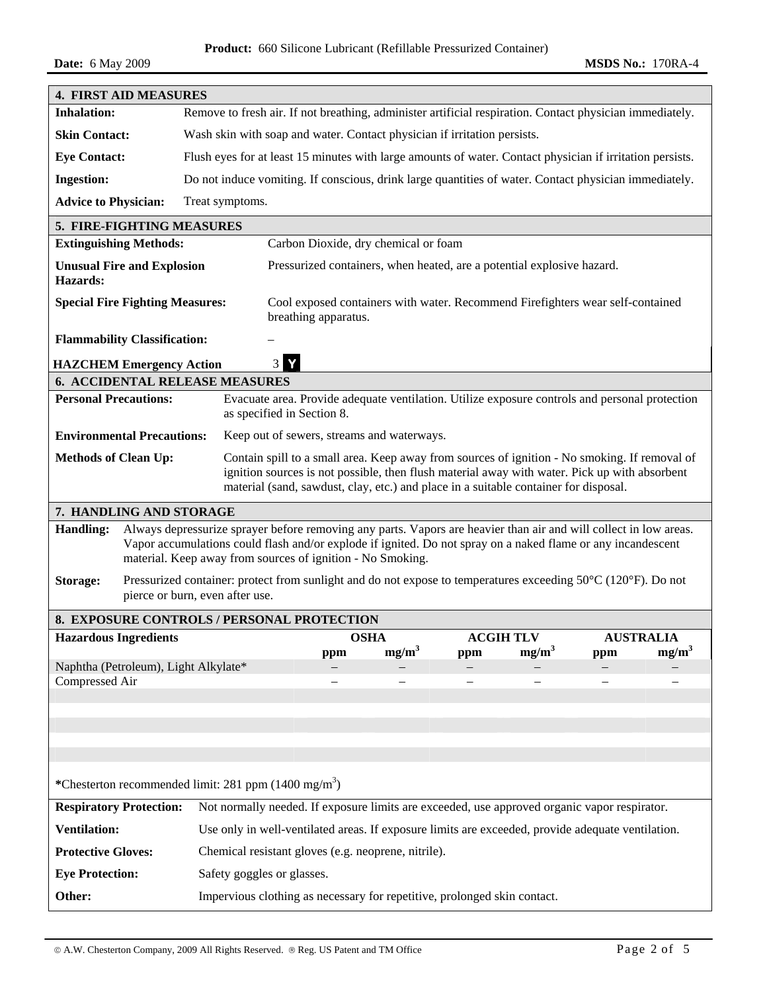**Product:** 660 Silicone Lubricant (Refillable Pressurized Container)

| <b>4. FIRST AID MEASURES</b>                                                                                                                                                                                                                                                                                        |                                                                                                                                                  |  |  |  |  |  |
|---------------------------------------------------------------------------------------------------------------------------------------------------------------------------------------------------------------------------------------------------------------------------------------------------------------------|--------------------------------------------------------------------------------------------------------------------------------------------------|--|--|--|--|--|
| <b>Inhalation:</b>                                                                                                                                                                                                                                                                                                  | Remove to fresh air. If not breathing, administer artificial respiration. Contact physician immediately.                                         |  |  |  |  |  |
| <b>Skin Contact:</b>                                                                                                                                                                                                                                                                                                | Wash skin with soap and water. Contact physician if irritation persists.                                                                         |  |  |  |  |  |
| <b>Eye Contact:</b>                                                                                                                                                                                                                                                                                                 | Flush eyes for at least 15 minutes with large amounts of water. Contact physician if irritation persists.                                        |  |  |  |  |  |
| <b>Ingestion:</b>                                                                                                                                                                                                                                                                                                   | Do not induce vomiting. If conscious, drink large quantities of water. Contact physician immediately.                                            |  |  |  |  |  |
| <b>Advice to Physician:</b>                                                                                                                                                                                                                                                                                         | Treat symptoms.                                                                                                                                  |  |  |  |  |  |
| 5. FIRE-FIGHTING MEASURES                                                                                                                                                                                                                                                                                           |                                                                                                                                                  |  |  |  |  |  |
| <b>Extinguishing Methods:</b>                                                                                                                                                                                                                                                                                       | Carbon Dioxide, dry chemical or foam                                                                                                             |  |  |  |  |  |
| <b>Unusual Fire and Explosion</b><br>Hazards:                                                                                                                                                                                                                                                                       | Pressurized containers, when heated, are a potential explosive hazard.                                                                           |  |  |  |  |  |
| <b>Special Fire Fighting Measures:</b>                                                                                                                                                                                                                                                                              | Cool exposed containers with water. Recommend Firefighters wear self-contained<br>breathing apparatus.                                           |  |  |  |  |  |
| <b>Flammability Classification:</b>                                                                                                                                                                                                                                                                                 |                                                                                                                                                  |  |  |  |  |  |
| <b>HAZCHEM Emergency Action</b>                                                                                                                                                                                                                                                                                     | Y<br>3 <sup>1</sup>                                                                                                                              |  |  |  |  |  |
| <b>6. ACCIDENTAL RELEASE MEASURES</b>                                                                                                                                                                                                                                                                               |                                                                                                                                                  |  |  |  |  |  |
| <b>Personal Precautions:</b>                                                                                                                                                                                                                                                                                        | Evacuate area. Provide adequate ventilation. Utilize exposure controls and personal protection<br>as specified in Section 8.                     |  |  |  |  |  |
| <b>Environmental Precautions:</b>                                                                                                                                                                                                                                                                                   | Keep out of sewers, streams and waterways.                                                                                                       |  |  |  |  |  |
| <b>Methods of Clean Up:</b>                                                                                                                                                                                                                                                                                         | Contain spill to a small area. Keep away from sources of ignition - No smoking. If removal of                                                    |  |  |  |  |  |
| ignition sources is not possible, then flush material away with water. Pick up with absorbent<br>material (sand, sawdust, clay, etc.) and place in a suitable container for disposal.                                                                                                                               |                                                                                                                                                  |  |  |  |  |  |
| 7. HANDLING AND STORAGE                                                                                                                                                                                                                                                                                             |                                                                                                                                                  |  |  |  |  |  |
| Always depressurize sprayer before removing any parts. Vapors are heavier than air and will collect in low areas.<br><b>Handling:</b><br>Vapor accumulations could flash and/or explode if ignited. Do not spray on a naked flame or any incandescent<br>material. Keep away from sources of ignition - No Smoking. |                                                                                                                                                  |  |  |  |  |  |
| Storage:                                                                                                                                                                                                                                                                                                            | Pressurized container: protect from sunlight and do not expose to temperatures exceeding 50°C (120°F). Do not<br>pierce or burn, even after use. |  |  |  |  |  |
|                                                                                                                                                                                                                                                                                                                     | 8. EXPOSURE CONTROLS / PERSONAL PROTECTION                                                                                                       |  |  |  |  |  |
| <b>Hazardous Ingredients</b>                                                                                                                                                                                                                                                                                        | <b>OSHA</b><br><b>ACGIH TLV</b><br><b>AUSTRALIA</b>                                                                                              |  |  |  |  |  |
|                                                                                                                                                                                                                                                                                                                     | $mg/m^3$<br>mg/m <sup>3</sup><br>mg/m <sup>3</sup><br>ppm<br>ppm<br>ppm                                                                          |  |  |  |  |  |
| Naphtha (Petroleum), Light Alkylate*<br>Compressed Air                                                                                                                                                                                                                                                              |                                                                                                                                                  |  |  |  |  |  |
|                                                                                                                                                                                                                                                                                                                     |                                                                                                                                                  |  |  |  |  |  |
|                                                                                                                                                                                                                                                                                                                     |                                                                                                                                                  |  |  |  |  |  |
|                                                                                                                                                                                                                                                                                                                     |                                                                                                                                                  |  |  |  |  |  |
|                                                                                                                                                                                                                                                                                                                     |                                                                                                                                                  |  |  |  |  |  |
|                                                                                                                                                                                                                                                                                                                     | *Chesterton recommended limit: 281 ppm (1400 mg/m <sup>3</sup> )                                                                                 |  |  |  |  |  |
| <b>Respiratory Protection:</b>                                                                                                                                                                                                                                                                                      | Not normally needed. If exposure limits are exceeded, use approved organic vapor respirator.                                                     |  |  |  |  |  |
| <b>Ventilation:</b>                                                                                                                                                                                                                                                                                                 | Use only in well-ventilated areas. If exposure limits are exceeded, provide adequate ventilation.                                                |  |  |  |  |  |
| <b>Protective Gloves:</b>                                                                                                                                                                                                                                                                                           | Chemical resistant gloves (e.g. neoprene, nitrile).                                                                                              |  |  |  |  |  |
| <b>Eye Protection:</b>                                                                                                                                                                                                                                                                                              | Safety goggles or glasses.                                                                                                                       |  |  |  |  |  |
| Other:                                                                                                                                                                                                                                                                                                              | Impervious clothing as necessary for repetitive, prolonged skin contact.                                                                         |  |  |  |  |  |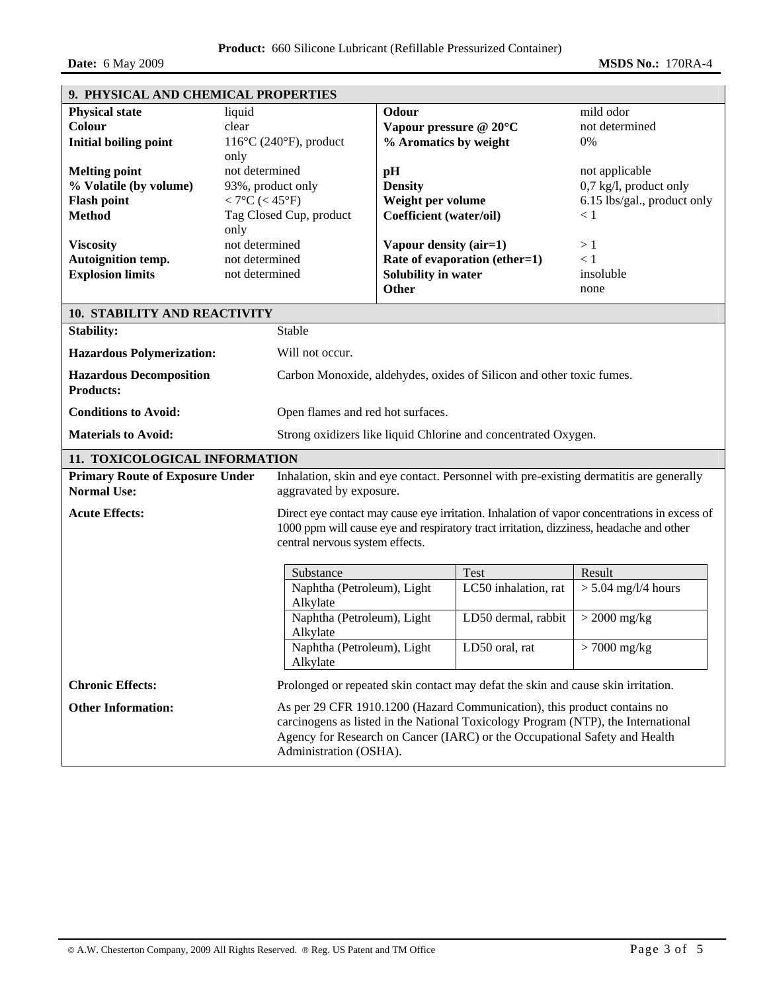| 9. PHYSICAL AND CHEMICAL PROPERTIES                              |                                                                                                                   |                                                                                                                            |                                                                      |                                                                                                                                                                                                                                             |                             |  |  |
|------------------------------------------------------------------|-------------------------------------------------------------------------------------------------------------------|----------------------------------------------------------------------------------------------------------------------------|----------------------------------------------------------------------|---------------------------------------------------------------------------------------------------------------------------------------------------------------------------------------------------------------------------------------------|-----------------------------|--|--|
| <b>Physical state</b><br>Colour                                  | liquid<br>clear                                                                                                   |                                                                                                                            | Odour<br>Vapour pressure @ 20°C                                      |                                                                                                                                                                                                                                             | mild odor<br>not determined |  |  |
| <b>Initial boiling point</b>                                     |                                                                                                                   |                                                                                                                            | % Aromatics by weight                                                |                                                                                                                                                                                                                                             | 0%                          |  |  |
|                                                                  | $116^{\circ}$ C (240 $^{\circ}$ F), product<br>only                                                               |                                                                                                                            |                                                                      |                                                                                                                                                                                                                                             |                             |  |  |
| <b>Melting point</b>                                             | not determined                                                                                                    |                                                                                                                            | pH                                                                   |                                                                                                                                                                                                                                             | not applicable              |  |  |
| % Volatile (by volume)                                           | 93%, product only                                                                                                 |                                                                                                                            | <b>Density</b>                                                       |                                                                                                                                                                                                                                             | 0,7 kg/l, product only      |  |  |
| <b>Flash point</b>                                               | $< 7^{\circ}C$ (< 45°F)                                                                                           |                                                                                                                            | Weight per volume                                                    |                                                                                                                                                                                                                                             | 6.15 lbs/gal., product only |  |  |
| <b>Method</b>                                                    | Tag Closed Cup, product                                                                                           |                                                                                                                            | Coefficient (water/oil)                                              |                                                                                                                                                                                                                                             | < 1                         |  |  |
|                                                                  | only                                                                                                              |                                                                                                                            |                                                                      |                                                                                                                                                                                                                                             |                             |  |  |
| <b>Viscosity</b>                                                 | not determined                                                                                                    |                                                                                                                            | Vapour density (air=1)                                               |                                                                                                                                                                                                                                             | >1                          |  |  |
| Autoignition temp.                                               | not determined                                                                                                    |                                                                                                                            |                                                                      | Rate of evaporation (ether=1)                                                                                                                                                                                                               | < 1                         |  |  |
| <b>Explosion limits</b>                                          | not determined                                                                                                    |                                                                                                                            | Solubility in water                                                  |                                                                                                                                                                                                                                             | insoluble                   |  |  |
|                                                                  |                                                                                                                   |                                                                                                                            | <b>Other</b>                                                         |                                                                                                                                                                                                                                             | none                        |  |  |
|                                                                  |                                                                                                                   |                                                                                                                            |                                                                      |                                                                                                                                                                                                                                             |                             |  |  |
| <b>10. STABILITY AND REACTIVITY</b>                              |                                                                                                                   |                                                                                                                            |                                                                      |                                                                                                                                                                                                                                             |                             |  |  |
| <b>Stability:</b>                                                |                                                                                                                   | Stable                                                                                                                     |                                                                      |                                                                                                                                                                                                                                             |                             |  |  |
|                                                                  | <b>Hazardous Polymerization:</b>                                                                                  |                                                                                                                            |                                                                      | Will not occur.                                                                                                                                                                                                                             |                             |  |  |
| <b>Hazardous Decomposition</b><br><b>Products:</b>               |                                                                                                                   |                                                                                                                            | Carbon Monoxide, aldehydes, oxides of Silicon and other toxic fumes. |                                                                                                                                                                                                                                             |                             |  |  |
| <b>Conditions to Avoid:</b><br>Open flames and red hot surfaces. |                                                                                                                   |                                                                                                                            |                                                                      |                                                                                                                                                                                                                                             |                             |  |  |
| <b>Materials to Avoid:</b>                                       |                                                                                                                   | Strong oxidizers like liquid Chlorine and concentrated Oxygen.                                                             |                                                                      |                                                                                                                                                                                                                                             |                             |  |  |
| 11. TOXICOLOGICAL INFORMATION                                    |                                                                                                                   |                                                                                                                            |                                                                      |                                                                                                                                                                                                                                             |                             |  |  |
| <b>Primary Route of Exposure Under</b><br><b>Normal Use:</b>     | Inhalation, skin and eye contact. Personnel with pre-existing dermatitis are generally<br>aggravated by exposure. |                                                                                                                            |                                                                      |                                                                                                                                                                                                                                             |                             |  |  |
| <b>Acute Effects:</b>                                            | Direct eye contact may cause eye irritation. Inhalation of vapor concentrations in excess of                      |                                                                                                                            |                                                                      |                                                                                                                                                                                                                                             |                             |  |  |
|                                                                  |                                                                                                                   | 1000 ppm will cause eye and respiratory tract irritation, dizziness, headache and other<br>central nervous system effects. |                                                                      |                                                                                                                                                                                                                                             |                             |  |  |
|                                                                  |                                                                                                                   |                                                                                                                            |                                                                      |                                                                                                                                                                                                                                             |                             |  |  |
|                                                                  |                                                                                                                   | Substance                                                                                                                  |                                                                      | Test                                                                                                                                                                                                                                        | Result                      |  |  |
|                                                                  |                                                                                                                   | Naphtha (Petroleum), Light<br>Alkylate                                                                                     |                                                                      | LC50 inhalation, rat                                                                                                                                                                                                                        | $> 5.04$ mg/l/4 hours       |  |  |
|                                                                  |                                                                                                                   | Naphtha (Petroleum), Light<br>Alkylate                                                                                     |                                                                      | LD50 dermal, rabbit                                                                                                                                                                                                                         | $>$ 2000 mg/kg              |  |  |
|                                                                  |                                                                                                                   | Naphtha (Petroleum), Light<br>Alkylate                                                                                     |                                                                      | LD50 oral, rat                                                                                                                                                                                                                              | $>7000$ mg/kg               |  |  |
| <b>Chronic Effects:</b>                                          |                                                                                                                   |                                                                                                                            |                                                                      | Prolonged or repeated skin contact may defat the skin and cause skin irritation.                                                                                                                                                            |                             |  |  |
| <b>Other Information:</b>                                        |                                                                                                                   | Administration (OSHA).                                                                                                     |                                                                      | As per 29 CFR 1910.1200 (Hazard Communication), this product contains no<br>carcinogens as listed in the National Toxicology Program (NTP), the International<br>Agency for Research on Cancer (IARC) or the Occupational Safety and Health |                             |  |  |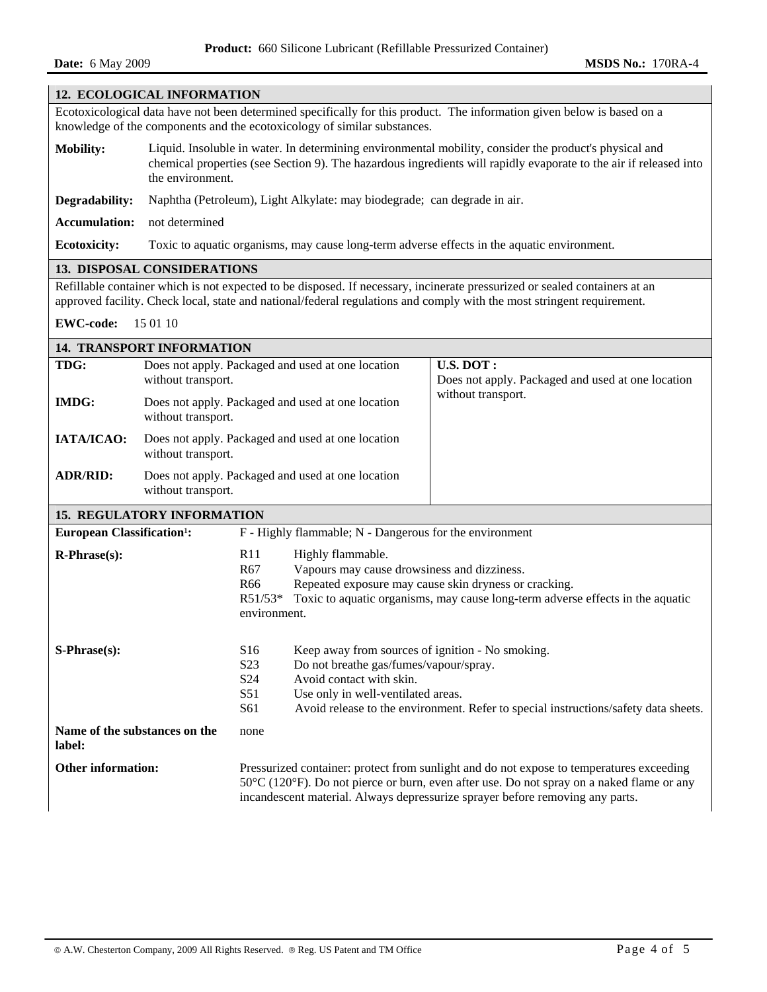## **12. ECOLOGICAL INFORMATION**

Ecotoxicological data have not been determined specifically for this product. The information given below is based on a knowledge of the components and the ecotoxicology of similar substances.

- **Mobility:** Liquid. Insoluble in water. In determining environmental mobility, consider the product's physical and chemical properties (see Section 9). The hazardous ingredients will rapidly evaporate to the air if released into the environment.
- **Degradability:** Naphtha (Petroleum), Light Alkylate: may biodegrade; can degrade in air.

**Accumulation:** not determined

**Ecotoxicity:** Toxic to aquatic organisms, may cause long-term adverse effects in the aquatic environment.

## **13. DISPOSAL CONSIDERATIONS**

Refillable container which is not expected to be disposed. If necessary, incinerate pressurized or sealed containers at an approved facility. Check local, state and national/federal regulations and comply with the most stringent requirement.

**EWC-code:** 15 01 10

| <b>14. TRANSPORT INFORMATION</b>                                                                                                                                                                                       |                                                                         |                                                                                                                                                                                                                                                                                             |                                                                                                                                                                                                                                                     |                                                                |  |  |
|------------------------------------------------------------------------------------------------------------------------------------------------------------------------------------------------------------------------|-------------------------------------------------------------------------|---------------------------------------------------------------------------------------------------------------------------------------------------------------------------------------------------------------------------------------------------------------------------------------------|-----------------------------------------------------------------------------------------------------------------------------------------------------------------------------------------------------------------------------------------------------|----------------------------------------------------------------|--|--|
| TDG:                                                                                                                                                                                                                   | Does not apply. Packaged and used at one location<br>without transport. |                                                                                                                                                                                                                                                                                             |                                                                                                                                                                                                                                                     | U.S. DOT:<br>Does not apply. Packaged and used at one location |  |  |
| <b>IMDG:</b>                                                                                                                                                                                                           | Does not apply. Packaged and used at one location<br>without transport. |                                                                                                                                                                                                                                                                                             |                                                                                                                                                                                                                                                     | without transport.                                             |  |  |
| IATA/ICAO:                                                                                                                                                                                                             | Does not apply. Packaged and used at one location<br>without transport. |                                                                                                                                                                                                                                                                                             |                                                                                                                                                                                                                                                     |                                                                |  |  |
| <b>ADR/RID:</b>                                                                                                                                                                                                        | Does not apply. Packaged and used at one location<br>without transport. |                                                                                                                                                                                                                                                                                             |                                                                                                                                                                                                                                                     |                                                                |  |  |
| <b>15. REGULATORY INFORMATION</b>                                                                                                                                                                                      |                                                                         |                                                                                                                                                                                                                                                                                             |                                                                                                                                                                                                                                                     |                                                                |  |  |
| <b>European Classification<sup>1</sup>:</b>                                                                                                                                                                            |                                                                         |                                                                                                                                                                                                                                                                                             | F - Highly flammable; N - Dangerous for the environment                                                                                                                                                                                             |                                                                |  |  |
| $R-Phrase(s)$ :<br>Highly flammable.<br>R11<br>Vapours may cause drowsiness and dizziness.<br>R <sub>67</sub><br>Repeated exposure may cause skin dryness or cracking.<br>R <sub>66</sub><br>$R51/53*$<br>environment. |                                                                         | Toxic to aquatic organisms, may cause long-term adverse effects in the aquatic                                                                                                                                                                                                              |                                                                                                                                                                                                                                                     |                                                                |  |  |
| S-Phrase(s):                                                                                                                                                                                                           |                                                                         | S <sub>16</sub><br>S <sub>2</sub> 3<br>S <sub>24</sub><br>S51<br>S61                                                                                                                                                                                                                        | Keep away from sources of ignition - No smoking.<br>Do not breathe gas/fumes/vapour/spray.<br>Avoid contact with skin.<br>Use only in well-ventilated areas.<br>Avoid release to the environment. Refer to special instructions/safety data sheets. |                                                                |  |  |
| Name of the substances on the<br>label:                                                                                                                                                                                |                                                                         | none                                                                                                                                                                                                                                                                                        |                                                                                                                                                                                                                                                     |                                                                |  |  |
| <b>Other information:</b>                                                                                                                                                                                              |                                                                         | Pressurized container: protect from sunlight and do not expose to temperatures exceeding<br>$50^{\circ}$ C (120 $^{\circ}$ F). Do not pierce or burn, even after use. Do not spray on a naked flame or any<br>incandescent material. Always depressurize sprayer before removing any parts. |                                                                                                                                                                                                                                                     |                                                                |  |  |